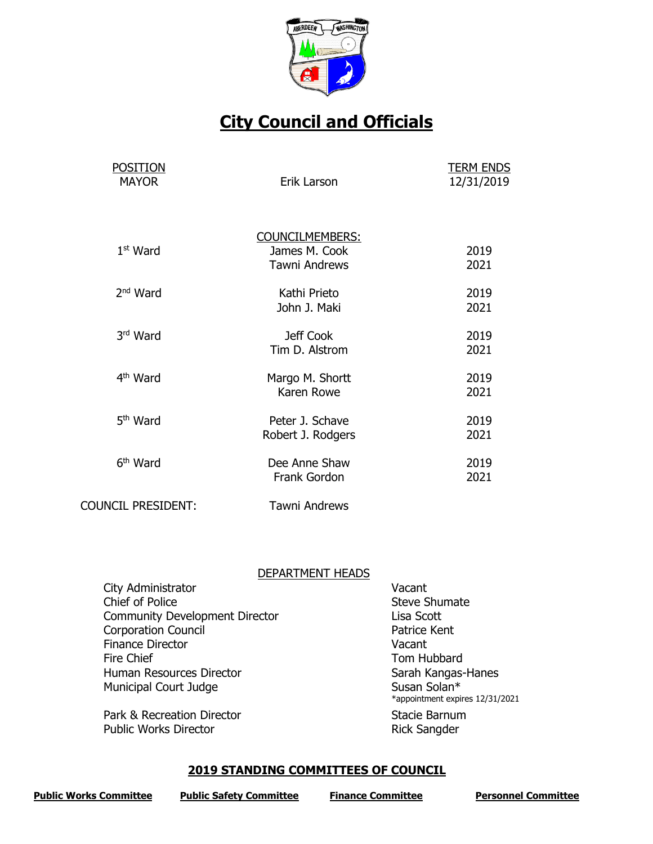

# **City Council and Officials**

| <b>POSITION</b><br><b>MAYOR</b> | Erik Larson                                                     | <b>TERM ENDS</b><br>12/31/2019 |  |
|---------------------------------|-----------------------------------------------------------------|--------------------------------|--|
| $1st$ Ward                      | <b>COUNCILMEMBERS:</b><br>James M. Cook<br><b>Tawni Andrews</b> | 2019<br>2021                   |  |
| $2nd$ Ward                      | Kathi Prieto<br>John J. Maki                                    | 2019<br>2021                   |  |
| 3rd Ward                        | Jeff Cook<br>Tim D. Alstrom                                     | 2019<br>2021                   |  |
| 4 <sup>th</sup> Ward            | Margo M. Shortt<br>Karen Rowe                                   | 2019<br>2021                   |  |
| 5 <sup>th</sup> Ward            | Peter J. Schave<br>Robert J. Rodgers                            | 2019<br>2021                   |  |
| 6 <sup>th</sup> Ward            | Dee Anne Shaw<br>Frank Gordon                                   | 2019<br>2021                   |  |
| <b>COUNCIL PRESIDENT:</b>       | <b>Tawni Andrews</b>                                            |                                |  |

## DEPARTMENT HEADS

| City Administrator                    | Vacant                                          |
|---------------------------------------|-------------------------------------------------|
| Chief of Police                       | <b>Steve Shumate</b>                            |
| <b>Community Development Director</b> | Lisa Scott                                      |
| <b>Corporation Council</b>            | Patrice Kent                                    |
| <b>Finance Director</b>               | Vacant                                          |
| Fire Chief                            | Tom Hubbard                                     |
| Human Resources Director              | Sarah Kangas-Hanes                              |
| <b>Municipal Court Judge</b>          | Susan Solan*<br>*appointment expires 12/31/2021 |
| Park & Recreation Director            | Stacie Barnum                                   |
| <b>Public Works Director</b>          | <b>Rick Sangder</b>                             |

# **2019 STANDING COMMITTEES OF COUNCIL**

| <b>Public Works Committee</b> | <b>Public Safety Committee</b> | <b>Finance Committee</b> | <b>Personnel Committee</b> |
|-------------------------------|--------------------------------|--------------------------|----------------------------|
|                               |                                |                          |                            |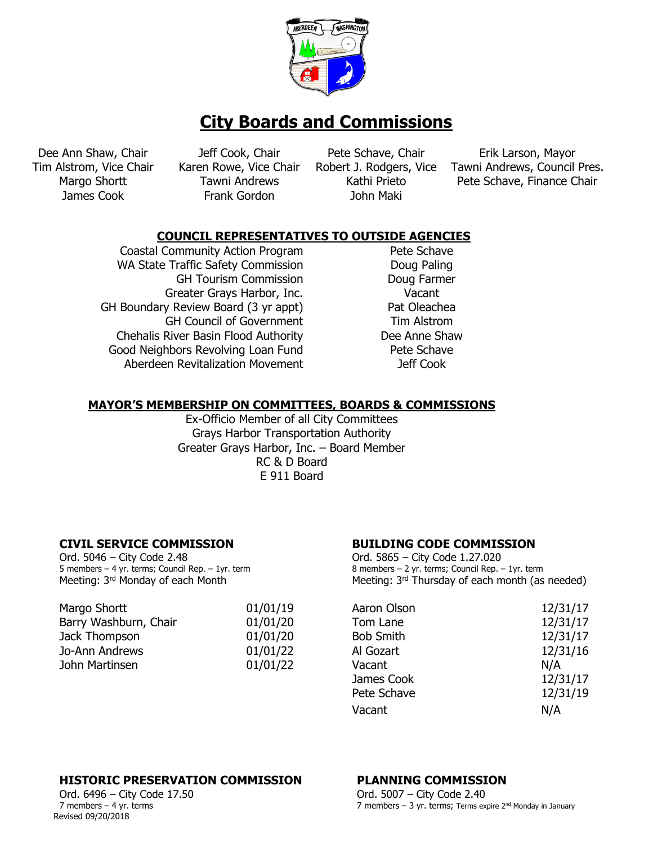

Dee Ann Shaw, Chair Jeff Cook, Chair Pete Schave, Chair Erik Larson, Mayor

James Cook Frank Gordon John Maki

Tim Alstrom, Vice Chair Karen Rowe, Vice Chair Robert J. Rodgers, Vice Tawni Andrews, Council Pres. Margo Shortt Tawni Andrews Kathi Prieto Pete Schave, Finance Chair

# **COUNCIL REPRESENTATIVES TO OUTSIDE AGENCIES**

Coastal Community Action Program Pete Schave WA State Traffic Safety Commission Doug Paling GH Tourism Commission **Doug Farmer** Greater Grays Harbor, Inc. Vacant GH Boundary Review Board (3 yr appt) Pat Oleachea GH Council of Government Tim Alstrom Chehalis River Basin Flood Authority Dee Anne Shaw Good Neighbors Revolving Loan Fund Pete Schave Aberdeen Revitalization Movement and More Jeff Cook

## **MAYOR'S MEMBERSHIP ON COMMITTEES, BOARDS & COMMISSIONS**

Ex-Officio Member of all City Committees Grays Harbor Transportation Authority Greater Grays Harbor, Inc. – Board Member RC & D Board E 911 Board

Ord. 5046 – City Code 2.48 5 members – 4 yr. terms; Council Rep. – 1yr. term

| Margo Shortt          | 01/01/19 | Aaron Olson      | 12/31/17 |
|-----------------------|----------|------------------|----------|
| Barry Washburn, Chair | 01/01/20 | Tom Lane         | 12/31/17 |
| Jack Thompson         | 01/01/20 | <b>Bob Smith</b> | 12/31/17 |
| Jo-Ann Andrews        | 01/01/22 | Al Gozart        | 12/31/16 |
| John Martinsen        | 01/01/22 | Vacant           | N/A      |
|                       |          |                  |          |

# **CIVIL SERVICE COMMISSION BUILDING CODE COMMISSION**

Ord. 5865 – City Code 1.27.020 8 members – 2 yr. terms; Council Rep. – 1yr. term Meeting: 3<sup>rd</sup> Monday of each Month Meeting: 3<sup>rd</sup> Thursday of each month (as needed)

| Aaron Olson      | 12/31/17 |
|------------------|----------|
| Tom Lane         | 12/31/17 |
| <b>Bob Smith</b> | 12/31/17 |
| Al Gozart        | 12/31/16 |
| Vacant           | N/A      |
| James Cook       | 12/31/17 |
| Pete Schave      | 12/31/19 |
| Vacant           | N/A      |
|                  |          |

# **HISTORIC PRESERVATION COMMISSION PLANNING COMMISSION**

Revised 09/20/2018 Ord. 6496 – City Code 17.50 7 members – 4 yr. terms

Ord. 5007 – City Code 2.40 7 members – 3 yr. terms; Terms expire  $2^{nd}$  Monday in January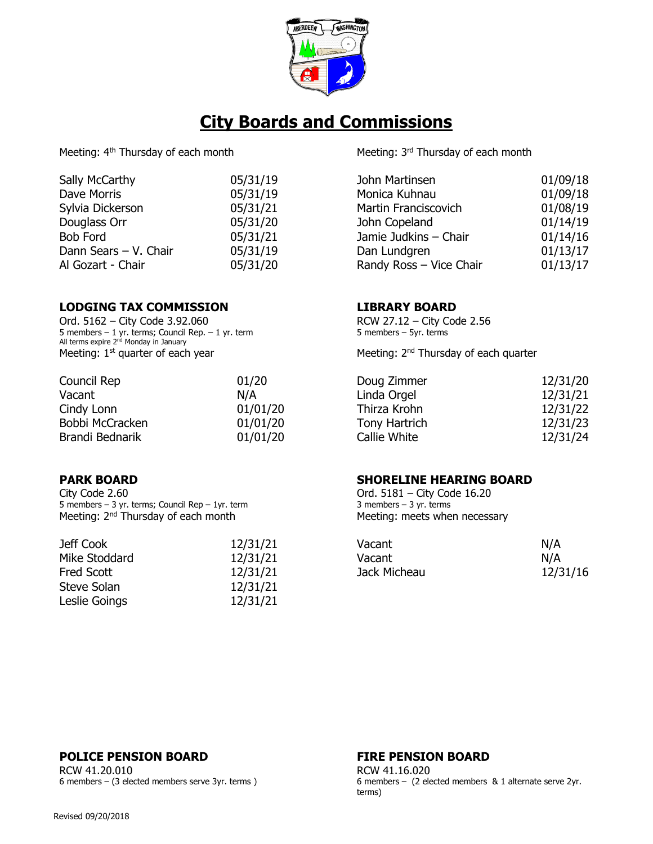

| 05/31/19 |
|----------|
| 05/31/19 |
| 05/31/21 |
| 05/31/20 |
| 05/31/21 |
| 05/31/19 |
| 05/31/20 |
|          |

# **LODGING TAX COMMISSION LIBRARY BOARD**

Ord. 5162 – City Code 3.92.060 5 members – 1 yr. terms; Council Rep. – 1 yr. term All terms expire 2<sup>nd</sup> Monday in January Meeting:  $1<sup>st</sup>$  quarter of each year  $\blacksquare$  Meeting:  $2<sup>nd</sup>$  Thursday of each quarter

| Council Rep     | 01/20    |
|-----------------|----------|
| Vacant          | N/A      |
| Cindy Lonn      | 01/01/20 |
| Bobbi McCracken | 01/01/20 |
| Brandi Bednarik | 01/01/20 |
|                 |          |

City Code 2.60 5 members – 3 yr. terms; Council Rep – 1yr. term Meeting:  $2<sup>nd</sup>$  Thursday of each month Meeting: meets when necessary

| Jeff Cook         | 12/31/21 | Vacant       | N/A |
|-------------------|----------|--------------|-----|
| Mike Stoddard     | 12/31/21 | Vacant       | N/A |
| <b>Fred Scott</b> | 12/31/21 | Jack Micheau | 12/ |
| Steve Solan       | 12/31/21 |              |     |
| Leslie Goings     | 12/31/21 |              |     |

Meeting: 4<sup>th</sup> Thursday of each month Meeting: 3<sup>rd</sup> Thursday of each month

| Sally McCarthy        | 05/31/19 | John Martinsen          | 01/09/18 |
|-----------------------|----------|-------------------------|----------|
| Dave Morris           | 05/31/19 | Monica Kuhnau           | 01/09/18 |
| Sylvia Dickerson      | 05/31/21 | Martin Franciscovich    | 01/08/19 |
| Douglass Orr          | 05/31/20 | John Copeland           | 01/14/19 |
| Bob Ford              | 05/31/21 | Jamie Judkins - Chair   | 01/14/16 |
| Dann Sears - V. Chair | 05/31/19 | Dan Lundgren            | 01/13/17 |
| Al Gozart - Chair     | 05/31/20 | Randy Ross - Vice Chair | 01/13/17 |

RCW 27.12 – City Code 2.56 5 members – 5yr. terms

| Council Rep     | 01/20    | Doug Zimmer   | 12/31/20 |
|-----------------|----------|---------------|----------|
| Vacant          | N/A      | Linda Orgel   | 12/31/21 |
| Cindy Lonn      | 01/01/20 | Thirza Krohn  | 12/31/22 |
| Bobbi McCracken | 01/01/20 | Tony Hartrich | 12/31/23 |
| Brandi Bednarik | 01/01/20 | Callie White  | 12/31/24 |

## **PARK BOARD SHORELINE HEARING BOARD**

Ord. 5181 – City Code 16.20 3 members  $-$  3 yr. terms

| Jeff Cook     | 12/31/21 | Vacant       | N/A      |
|---------------|----------|--------------|----------|
| Mike Stoddard | 12/31/21 | Vacant       | N/A      |
| Fred Scott    | 12/31/21 | Jack Micheau | 12/31/16 |
|               |          |              |          |

## **POLICE PENSION BOARD FIRE PENSION BOARD**

RCW 41.20.010 6 members – (3 elected members serve 3yr. terms )

RCW 41.16.020 6 members – (2 elected members & 1 alternate serve 2yr. terms)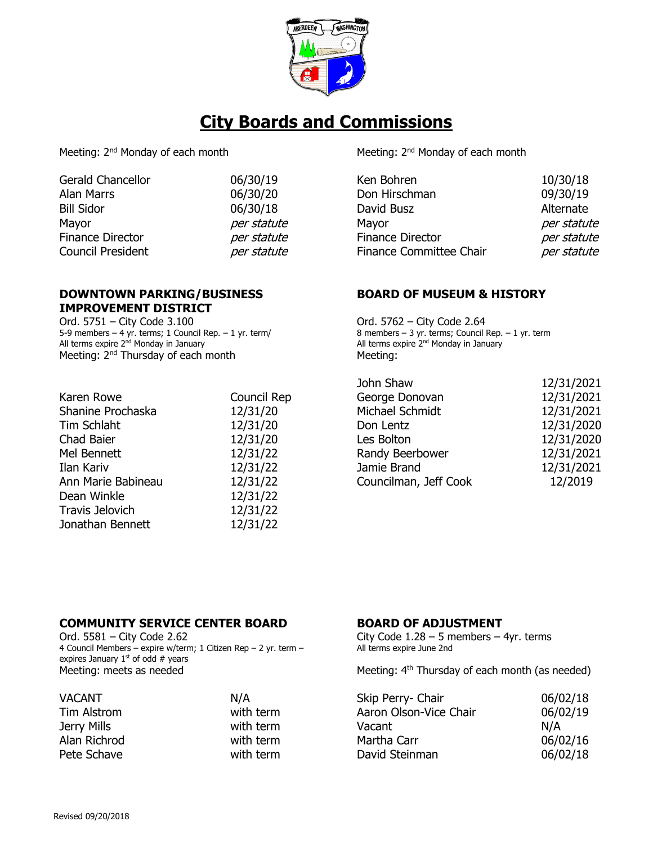

Meeting: 2<sup>nd</sup> Monday of each month Meeting: 2<sup>nd</sup> Monday of each month

| <b>Gerald Chancellor</b> | 06/30/19    | Ken Bohren              | 10/30/18    |
|--------------------------|-------------|-------------------------|-------------|
| Alan Marrs               | 06/30/20    | Don Hirschman           | 09/30/19    |
| <b>Bill Sidor</b>        | 06/30/18    | David Busz              | Alternate   |
| Mayor                    | per statute | Mayor                   | per statute |
| Finance Director         | per statute | <b>Finance Director</b> | per statute |
| <b>Council President</b> | per statute | Finance Committee Chair | per statute |
|                          |             |                         |             |

## **DOWNTOWN PARKING/BUSINESS IMPROVEMENT DISTRICT**

Ord. 5751 – City Code 3.100 5-9 members – 4 yr. terms; 1 Council Rep. – 1 yr. term/ All terms expire 2<sup>nd</sup> Monday in January Meeting: 2<sup>nd</sup> Thursday of each month Meeting:

| Karen Rowe             | Council Rep |
|------------------------|-------------|
| Shanine Prochaska      | 12/31/20    |
| <b>Tim Schlaht</b>     | 12/31/20    |
| Chad Baier             | 12/31/20    |
| Mel Bennett            | 12/31/22    |
| Ilan Kariv             | 12/31/22    |
| Ann Marie Babineau     | 12/31/22    |
| Dean Winkle            | 12/31/22    |
| <b>Travis Jelovich</b> | 12/31/22    |
| Jonathan Bennett       | 12/31/22    |
|                        |             |

# **BOARD OF MUSEUM & HISTORY**

Ord. 5762 – City Code 2.64 8 members – 3 yr. terms; Council Rep. – 1 yr. term All terms expire 2<sup>nd</sup> Monday in January

|                    |             | John Shaw             | 12/31/2021 |
|--------------------|-------------|-----------------------|------------|
| Karen Rowe         | Council Rep | George Donovan        | 12/31/2021 |
| Shanine Prochaska  | 12/31/20    | Michael Schmidt       | 12/31/2021 |
| Tim Schlaht        | 12/31/20    | Don Lentz             | 12/31/2020 |
| Chad Baier         | 12/31/20    | Les Bolton            | 12/31/2020 |
| Mel Bennett        | 12/31/22    | Randy Beerbower       | 12/31/2021 |
| Ilan Kariv         | 12/31/22    | Jamie Brand           | 12/31/2021 |
| Ann Marie Babineau | 12/31/22    | Councilman, Jeff Cook | 12/2019    |
|                    |             |                       |            |

## **COMMUNITY SERVICE CENTER BOARD BOARD OF ADJUSTMENT**

Ord. 5581 – City Code 2.62 4 Council Members – expire w/term; 1 Citizen Rep – 2 yr. term – expires January  $1<sup>st</sup>$  of odd # years

| <b>VACANT</b> | N/A       | Skip Perry- Chair      | 06/02/18 |
|---------------|-----------|------------------------|----------|
| Tim Alstrom   | with term | Aaron Olson-Vice Chair | 06/02/19 |
| Jerry Mills   | with term | Vacant                 | N/A      |
| Alan Richrod  | with term | Martha Carr            | 06/02/16 |
| Pete Schave   | with term | David Steinman         | 06/02/18 |

City Code  $1.28 - 5$  members  $-4$ yr. terms All terms expire June 2nd

Meeting: meets as needed Meeting: 4<sup>th</sup> Thursday of each month (as needed)

| 06/02/18 |
|----------|
| 06/02/19 |
| N/A      |
| 06/02/16 |
| 06/02/18 |
|          |